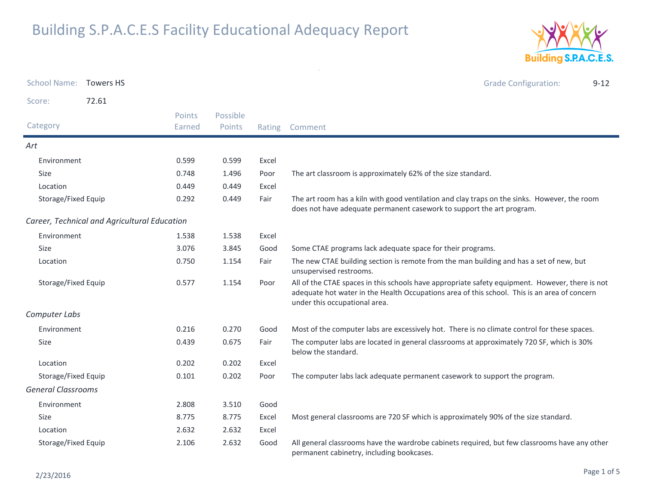

|                           | School Name: Towers HS                       |                         |                    |       | <b>Grade Configuration:</b><br>$9 - 12$                                                                                                                                                                                          |
|---------------------------|----------------------------------------------|-------------------------|--------------------|-------|----------------------------------------------------------------------------------------------------------------------------------------------------------------------------------------------------------------------------------|
| Score:                    | 72.61                                        |                         |                    |       |                                                                                                                                                                                                                                  |
| Category                  |                                              | <b>Points</b><br>Earned | Possible<br>Points |       | Rating Comment                                                                                                                                                                                                                   |
| Art                       |                                              |                         |                    |       |                                                                                                                                                                                                                                  |
| Environment               |                                              | 0.599                   | 0.599              | Excel |                                                                                                                                                                                                                                  |
| Size                      |                                              | 0.748                   | 1.496              | Poor  | The art classroom is approximately 62% of the size standard.                                                                                                                                                                     |
| Location                  |                                              | 0.449                   | 0.449              | Excel |                                                                                                                                                                                                                                  |
| Storage/Fixed Equip       |                                              | 0.292                   | 0.449              | Fair  | The art room has a kiln with good ventilation and clay traps on the sinks. However, the room<br>does not have adequate permanent casework to support the art program.                                                            |
|                           | Career, Technical and Agricultural Education |                         |                    |       |                                                                                                                                                                                                                                  |
| Environment               |                                              | 1.538                   | 1.538              | Excel |                                                                                                                                                                                                                                  |
| <b>Size</b>               |                                              | 3.076                   | 3.845              | Good  | Some CTAE programs lack adequate space for their programs.                                                                                                                                                                       |
| Location                  |                                              | 0.750                   | 1.154              | Fair  | The new CTAE building section is remote from the man building and has a set of new, but<br>unsupervised restrooms.                                                                                                               |
| Storage/Fixed Equip       |                                              | 0.577                   | 1.154              | Poor  | All of the CTAE spaces in this schools have appropriate safety equipment. However, there is not<br>adequate hot water in the Health Occupations area of this school. This is an area of concern<br>under this occupational area. |
| Computer Labs             |                                              |                         |                    |       |                                                                                                                                                                                                                                  |
| Environment               |                                              | 0.216                   | 0.270              | Good  | Most of the computer labs are excessively hot. There is no climate control for these spaces.                                                                                                                                     |
| Size                      |                                              | 0.439                   | 0.675              | Fair  | The computer labs are located in general classrooms at approximately 720 SF, which is 30%<br>below the standard.                                                                                                                 |
| Location                  |                                              | 0.202                   | 0.202              | Excel |                                                                                                                                                                                                                                  |
| Storage/Fixed Equip       |                                              | 0.101                   | 0.202              | Poor  | The computer labs lack adequate permanent casework to support the program.                                                                                                                                                       |
| <b>General Classrooms</b> |                                              |                         |                    |       |                                                                                                                                                                                                                                  |
| Environment               |                                              | 2.808                   | 3.510              | Good  |                                                                                                                                                                                                                                  |
| <b>Size</b>               |                                              | 8.775                   | 8.775              | Excel | Most general classrooms are 720 SF which is approximately 90% of the size standard.                                                                                                                                              |
| Location                  |                                              | 2.632                   | 2.632              | Excel |                                                                                                                                                                                                                                  |
| Storage/Fixed Equip       |                                              | 2.106                   | 2.632              | Good  | All general classrooms have the wardrobe cabinets required, but few classrooms have any other<br>permanent cabinetry, including bookcases.                                                                                       |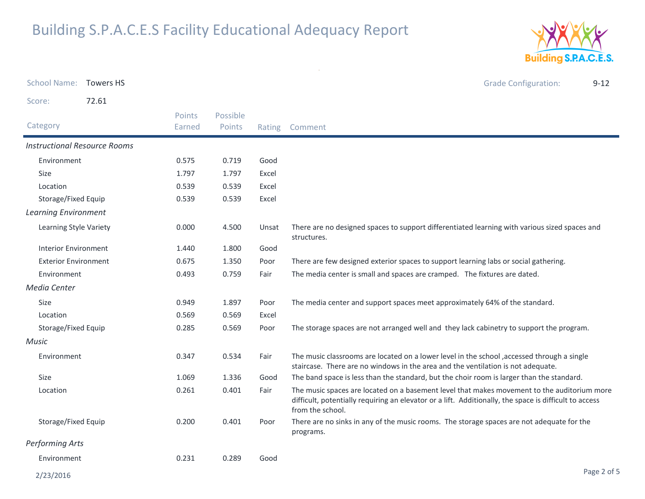

| School Name: Towers HS      |                                     |        |          |       | <b>Grade Configuration:</b><br>$9 - 12$                                                                                                                                                                                   |
|-----------------------------|-------------------------------------|--------|----------|-------|---------------------------------------------------------------------------------------------------------------------------------------------------------------------------------------------------------------------------|
| Score:                      | 72.61                               |        |          |       |                                                                                                                                                                                                                           |
|                             |                                     | Points | Possible |       |                                                                                                                                                                                                                           |
| Category                    |                                     | Earned | Points   |       | Rating Comment                                                                                                                                                                                                            |
|                             | <b>Instructional Resource Rooms</b> |        |          |       |                                                                                                                                                                                                                           |
| Environment                 |                                     | 0.575  | 0.719    | Good  |                                                                                                                                                                                                                           |
| <b>Size</b>                 |                                     | 1.797  | 1.797    | Excel |                                                                                                                                                                                                                           |
| Location                    |                                     | 0.539  | 0.539    | Excel |                                                                                                                                                                                                                           |
| Storage/Fixed Equip         |                                     | 0.539  | 0.539    | Excel |                                                                                                                                                                                                                           |
| <b>Learning Environment</b> |                                     |        |          |       |                                                                                                                                                                                                                           |
| Learning Style Variety      |                                     | 0.000  | 4.500    | Unsat | There are no designed spaces to support differentiated learning with various sized spaces and<br>structures.                                                                                                              |
| <b>Interior Environment</b> |                                     | 1.440  | 1.800    | Good  |                                                                                                                                                                                                                           |
| <b>Exterior Environment</b> |                                     | 0.675  | 1.350    | Poor  | There are few designed exterior spaces to support learning labs or social gathering.                                                                                                                                      |
| Environment                 |                                     | 0.493  | 0.759    | Fair  | The media center is small and spaces are cramped. The fixtures are dated.                                                                                                                                                 |
| Media Center                |                                     |        |          |       |                                                                                                                                                                                                                           |
| Size                        |                                     | 0.949  | 1.897    | Poor  | The media center and support spaces meet approximately 64% of the standard.                                                                                                                                               |
| Location                    |                                     | 0.569  | 0.569    | Excel |                                                                                                                                                                                                                           |
| Storage/Fixed Equip         |                                     | 0.285  | 0.569    | Poor  | The storage spaces are not arranged well and they lack cabinetry to support the program.                                                                                                                                  |
| <b>Music</b>                |                                     |        |          |       |                                                                                                                                                                                                                           |
| Environment                 |                                     | 0.347  | 0.534    | Fair  | The music classrooms are located on a lower level in the school , accessed through a single<br>staircase. There are no windows in the area and the ventilation is not adequate.                                           |
| <b>Size</b>                 |                                     | 1.069  | 1.336    | Good  | The band space is less than the standard, but the choir room is larger than the standard.                                                                                                                                 |
| Location                    |                                     | 0.261  | 0.401    | Fair  | The music spaces are located on a basement level that makes movement to the auditorium more<br>difficult, potentially requiring an elevator or a lift. Additionally, the space is difficult to access<br>from the school. |
| Storage/Fixed Equip         |                                     | 0.200  | 0.401    | Poor  | There are no sinks in any of the music rooms. The storage spaces are not adequate for the<br>programs.                                                                                                                    |
| <b>Performing Arts</b>      |                                     |        |          |       |                                                                                                                                                                                                                           |
| Environment                 |                                     | 0.231  | 0.289    | Good  |                                                                                                                                                                                                                           |
|                             |                                     |        |          |       |                                                                                                                                                                                                                           |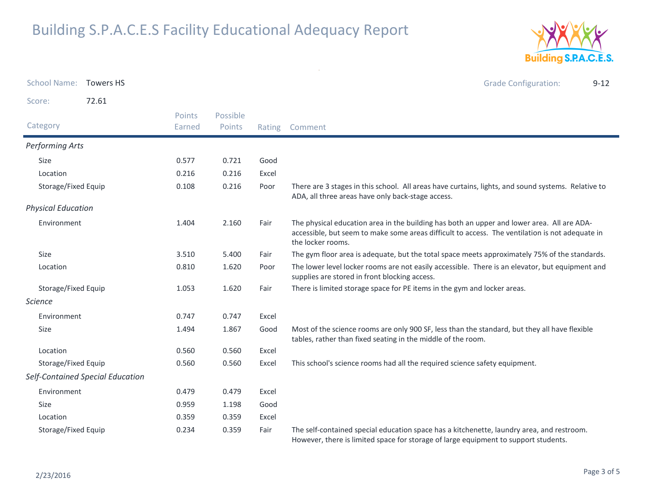

| <b>School Name:</b>       | <b>Towers HS</b>                 |                  |                    |        | <b>Grade Configuration:</b><br>$9 - 12$                                                                                                                                                                            |
|---------------------------|----------------------------------|------------------|--------------------|--------|--------------------------------------------------------------------------------------------------------------------------------------------------------------------------------------------------------------------|
| Score:                    | 72.61                            |                  |                    |        |                                                                                                                                                                                                                    |
| Category                  |                                  | Points<br>Earned | Possible<br>Points | Rating | Comment                                                                                                                                                                                                            |
| Performing Arts           |                                  |                  |                    |        |                                                                                                                                                                                                                    |
| Size                      |                                  | 0.577            | 0.721              | Good   |                                                                                                                                                                                                                    |
| Location                  |                                  | 0.216            | 0.216              | Excel  |                                                                                                                                                                                                                    |
| Storage/Fixed Equip       |                                  | 0.108            | 0.216              | Poor   | There are 3 stages in this school. All areas have curtains, lights, and sound systems. Relative to<br>ADA, all three areas have only back-stage access.                                                            |
| <b>Physical Education</b> |                                  |                  |                    |        |                                                                                                                                                                                                                    |
| Environment               |                                  | 1.404            | 2.160              | Fair   | The physical education area in the building has both an upper and lower area. All are ADA-<br>accessible, but seem to make some areas difficult to access. The ventilation is not adequate in<br>the locker rooms. |
| Size                      |                                  | 3.510            | 5.400              | Fair   | The gym floor area is adequate, but the total space meets approximately 75% of the standards.                                                                                                                      |
| Location                  |                                  | 0.810            | 1.620              | Poor   | The lower level locker rooms are not easily accessible. There is an elevator, but equipment and<br>supplies are stored in front blocking access.                                                                   |
| Storage/Fixed Equip       |                                  | 1.053            | 1.620              | Fair   | There is limited storage space for PE items in the gym and locker areas.                                                                                                                                           |
| Science                   |                                  |                  |                    |        |                                                                                                                                                                                                                    |
| Environment               |                                  | 0.747            | 0.747              | Excel  |                                                                                                                                                                                                                    |
| Size                      |                                  | 1.494            | 1.867              | Good   | Most of the science rooms are only 900 SF, less than the standard, but they all have flexible<br>tables, rather than fixed seating in the middle of the room.                                                      |
| Location                  |                                  | 0.560            | 0.560              | Excel  |                                                                                                                                                                                                                    |
| Storage/Fixed Equip       |                                  | 0.560            | 0.560              | Excel  | This school's science rooms had all the required science safety equipment.                                                                                                                                         |
|                           | Self-Contained Special Education |                  |                    |        |                                                                                                                                                                                                                    |
| Environment               |                                  | 0.479            | 0.479              | Excel  |                                                                                                                                                                                                                    |
| Size                      |                                  | 0.959            | 1.198              | Good   |                                                                                                                                                                                                                    |
| Location                  |                                  | 0.359            | 0.359              | Excel  |                                                                                                                                                                                                                    |
| Storage/Fixed Equip       |                                  | 0.234            | 0.359              | Fair   | The self-contained special education space has a kitchenette, laundry area, and restroom.<br>However, there is limited space for storage of large equipment to support students.                                   |

 $\sim$   $\sigma$   $^{-1}$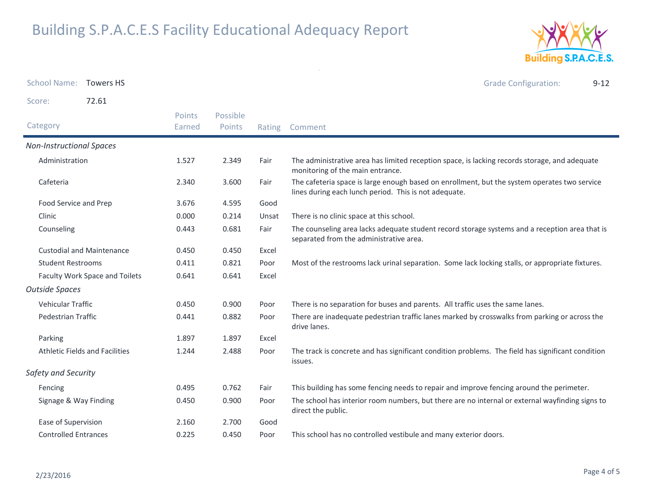

| <b>School Name:</b>                   | <b>Towers HS</b> |                  |                    |        | <b>Grade Configuration:</b><br>$9 - 12$                                                                                                               |
|---------------------------------------|------------------|------------------|--------------------|--------|-------------------------------------------------------------------------------------------------------------------------------------------------------|
| Score:                                | 72.61            |                  |                    |        |                                                                                                                                                       |
| Category                              |                  | Points<br>Earned | Possible<br>Points | Rating | Comment                                                                                                                                               |
| <b>Non-Instructional Spaces</b>       |                  |                  |                    |        |                                                                                                                                                       |
| Administration                        |                  | 1.527            | 2.349              | Fair   | The administrative area has limited reception space, is lacking records storage, and adequate<br>monitoring of the main entrance.                     |
| Cafeteria                             |                  | 2.340            | 3.600              | Fair   | The cafeteria space is large enough based on enrollment, but the system operates two service<br>lines during each lunch period. This is not adequate. |
| Food Service and Prep                 |                  | 3.676            | 4.595              | Good   |                                                                                                                                                       |
| Clinic                                |                  | 0.000            | 0.214              | Unsat  | There is no clinic space at this school.                                                                                                              |
| Counseling                            |                  | 0.443            | 0.681              | Fair   | The counseling area lacks adequate student record storage systems and a reception area that is<br>separated from the administrative area.             |
| <b>Custodial and Maintenance</b>      |                  | 0.450            | 0.450              | Excel  |                                                                                                                                                       |
| <b>Student Restrooms</b>              |                  | 0.411            | 0.821              | Poor   | Most of the restrooms lack urinal separation. Some lack locking stalls, or appropriate fixtures.                                                      |
| Faculty Work Space and Toilets        |                  | 0.641            | 0.641              | Excel  |                                                                                                                                                       |
| <b>Outside Spaces</b>                 |                  |                  |                    |        |                                                                                                                                                       |
| Vehicular Traffic                     |                  | 0.450            | 0.900              | Poor   | There is no separation for buses and parents. All traffic uses the same lanes.                                                                        |
| Pedestrian Traffic                    |                  | 0.441            | 0.882              | Poor   | There are inadequate pedestrian traffic lanes marked by crosswalks from parking or across the<br>drive lanes.                                         |
| Parking                               |                  | 1.897            | 1.897              | Excel  |                                                                                                                                                       |
| <b>Athletic Fields and Facilities</b> |                  | 1.244            | 2.488              | Poor   | The track is concrete and has significant condition problems. The field has significant condition<br>issues.                                          |
| Safety and Security                   |                  |                  |                    |        |                                                                                                                                                       |
| Fencing                               |                  |                  | 0.762              | Fair   | This building has some fencing needs to repair and improve fencing around the perimeter.                                                              |
| Signage & Way Finding                 |                  | 0.450            | 0.900              | Poor   | The school has interior room numbers, but there are no internal or external wayfinding signs to<br>direct the public.                                 |
| Ease of Supervision                   |                  | 2.160            | 2.700              | Good   |                                                                                                                                                       |
| <b>Controlled Entrances</b>           |                  | 0.225            | 0.450              | Poor   | This school has no controlled vestibule and many exterior doors.                                                                                      |

 $\sim$